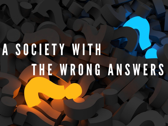# A SOCIETY WITH THE WRONG ANSWERS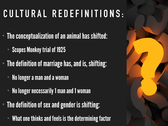#### **CULTURAL REDEFINITIONS:**

- The conceptualization of an animal has shifted:
	- Scopes Monkey trial of 1925
- The definition of marriage has, and is, shifting:
	- No longer a man and a woman
	- No longer necessarily 1 man and 1 woman
- The definition of sex and gender is shifting:
	- What one thinks and feels is the determining factor

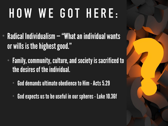## **HOW WE GOT HERE:**

- Radical Individualism "What an individual wants or wills is the highest good."
	- Family, community, culture, and society is sacrificed to the desires of the individual.
		- God demands ultimate obedience to Him Acts 5.29
		- God expects us to be useful in our spheres Luke 10.36f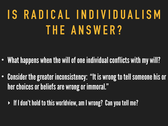#### **IS RADICAL INDIVIDUALISM THE ANSWER?**

- What happens when the will of one individual conflicts with my will?
- Consider the greater inconsistency: "It is wrong to tell someone his or her choices or beliefs are wrong or immoral."
	- ‣ If I don't hold to this worldview, am I wrong? Can you tell me?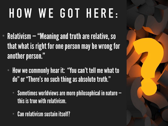## **HOW WE GOT HERE:**

- Relativism "Meaning and truth are relative, so that what is right for one person may be wrong for another person."
	- How we commonly hear it: "You can't tell me what to do" or "There's no such thing as absolute truth."
		- Sometimes worldviews are more philosophical in nature this is true with relativism.
		- Can relativism sustain itself?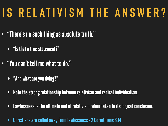#### **IS RELATIVISM THE ANSWER?**

- "There's no such thing as absolute truth."
	- $\rightarrow$  "Is that a true statement?"
- "You can't tell me what to do."
	- ‣ "And what are you doing?"
	- $\triangleright$  Note the strong relationship between relativism and radical individualism.
	- $\rightarrow$  Lawlessness is the ultimate end of relativism, when taken to its logical conclusion.
	- ‣ Christians are called away from lawlessness 2 Corinthians 6.14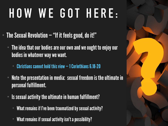### **HOW WE GOT HERE:**

- The Sexual Revolution "If it feels good, do it!"
	- The idea that our bodies are our own and we ought to enjoy our bodies in whatever way we want.
		- **Christians cannot hold this view**  $-1$  **Corinthians 6.18-20**
	- Note the presentation in media: sexual freedom is the ultimate in personal fulfillment.
	- Is sexual activity the ultimate in human fulfillment?
		- What remains if I've been traumatized by sexual activity?
		- What remains if sexual activity isn't a possibility?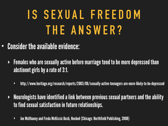#### **IS SEXUAL FREEDOM THE ANSWER?**

- Consider the available evidence:
	- ‣ Females who are sexually active before marriage tend to be more depressed than abstinent girls by a rate of 3:1.
		- ‣ http://www.heritage.org/research/reports/2003/06/sexually-active-teenagers-are-more-likely-to-be-depressed
	- ‣ Neurologists have identified a link between previous sexual partners and the ability to find sexual satisfaction in future relationships.
		- ‣ Joe McIlhaney and Freda McKissic Bush, Hooked (Chicago: Northfield Publishing, 2008)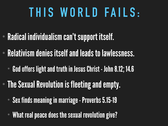#### **THIS WORLD FAILS:**

- Radical individualism can't support itself.
- Relativism denies itself and leads to lawlessness.
	- God offers light and truth in Jesus Christ John 8.12; 14.6
- The Sexual Revolution is fleeting and empty.
	- Sex finds meaning in marriage Proverbs 5.15-19
	- What real peace does the sexual revolution give?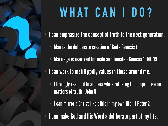### **WHAT CAN I DO?**

- I can emphasize the concept of truth to the next generation.
	- Man is the deliberate creation of God Genesis 1
	- Marriage is reserved for male and female Genesis 1; Mt. 19
	- I can work to instill godly values in those around me.
		- I lovingly respond to sinners while refusing to compromise on matters of truth - John 8
		- I can mirror a Christ-like ethic in my own life 1 Peter 2
- I can make God and His Word a deliberate part of my life.